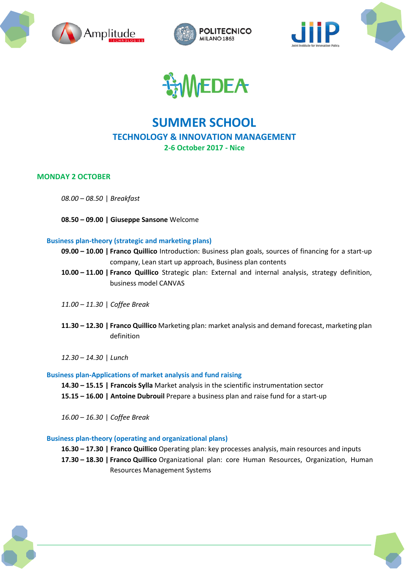







# **SUMMER SCHOOL TECHNOLOGY & INNOVATION MANAGEMENT 2-6 October 2017 - Nice**

# **MONDAY 2 OCTOBER**

*08.00 – 08.50* | *Breakfast*

**08.50 – 09.00 | Giuseppe Sansone** Welcome

# **Business plan-theory (strategic and marketing plans)**

- **09.00 – 10.00 | Franco Quillico** Introduction: Business plan goals, sources of financing for a start-up company, Lean start up approach, Business plan contents
- **10.00 – 11.00 | Franco Quillico** Strategic plan: External and internal analysis, strategy definition, business model CANVAS
- *11.00 – 11.30* | *Coffee Break*
- **11.30 – 12.30 | Franco Quillico** Marketing plan: market analysis and demand forecast, marketing plan definition

*12.30 – 14.30* | *Lunch*

# **Business plan-Applications of market analysis and fund raising**

**14.30 – 15.15 | Francois Sylla** Market analysis in the scientific instrumentation sector **15.15 – 16.00 | Antoine Dubrouil** Prepare a business plan and raise fund for a start-up

*16.00 – 16.30* | *Coffee Break*

# **Business plan-theory (operating and organizational plans)**

**16.30 – 17.30 | Franco Quillico** Operating plan: key processes analysis, main resources and inputs

**17.30 – 18.30 | Franco Quillico** Organizational plan: core Human Resources, Organization, Human Resources Management Systems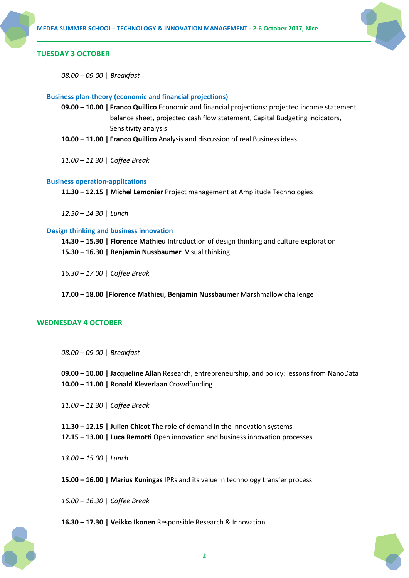

# **TUESDAY 3 OCTOBER**

*08.00 – 09.00* | *Breakfast*

# **Business plan-theory (economic and financial projections)**

- **09.00 – 10.00 | Franco Quillico** Economic and financial projections: projected income statement balance sheet, projected cash flow statement, Capital Budgeting indicators, Sensitivity analysis
- **10.00 – 11.00 | Franco Quillico** Analysis and discussion of real Business ideas

*11.00 – 11.30* | *Coffee Break*

# **Business operation-applications**

**11.30 – 12.15 | Michel Lemonier** Project management at Amplitude Technologies

*12.30 – 14.30* | *Lunch*

# **Design thinking and business innovation**

**14.30 – 15.30 | Florence Mathieu** Introduction of design thinking and culture exploration **15.30 – 16.30 | Benjamin Nussbaumer** Visual thinking

*16.30 – 17.00* | *Coffee Break*

**17.00 – 18.00 |Florence Mathieu, Benjamin Nussbaumer** Marshmallow challenge

# **WEDNESDAY 4 OCTOBER**

*08.00 – 09.00* | *Breakfast*

**09.00 – 10.00 | Jacqueline Allan** Research, entrepreneurship, and policy: lessons from NanoData **10.00 – 11.00 | Ronald Kleverlaan** Crowdfunding

*11.00 – 11.30* | *Coffee Break*

**11.30 – 12.15 | Julien Chicot** The role of demand in the innovation systems **12.15 – 13.00 | Luca Remotti** Open innovation and business innovation processes

*13.00 – 15.00* | *Lunch*

**15.00 – 16.00 | Marius Kuningas** IPRs and its value in technology transfer process

*16.00 – 16.30* | *Coffee Break*

# **16.30 – 17.30 | Veikko Ikonen** Responsible Research & Innovation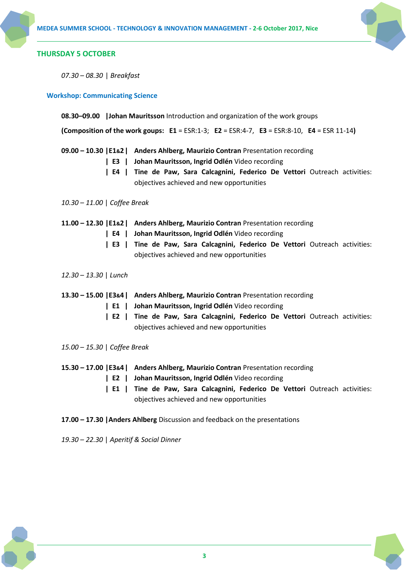

# **THURSDAY 5 OCTOBER**

*07.30 – 08.30* | *Breakfast*

**Workshop: Communicating Science**

**08.30–09.00 |Johan Mauritsson** Introduction and organization of the work groups

**(Composition of the work goups: E1** = ESR:1-3; **E2** = ESR:4-7, **E3** = ESR:8-10, **E4** = ESR 11-14**)**

- **09.00 – 10.30 |E1&2| Anders Ahlberg, Maurizio Contran** Presentation recording
	- **| E3 | Johan Mauritsson, Ingrid Odlén** Video recording
	- **| E4 | Tine de Paw, Sara Calcagnini, Federico De Vettori** Outreach activities: objectives achieved and new opportunities

*10.30 – 11.00* | *Coffee Break*

## **11.00 – 12.30 |E1&2| Anders Ahlberg, Maurizio Contran** Presentation recording

- **| E4 | Johan Mauritsson, Ingrid Odlén** Video recording
- **| E3 | Tine de Paw, Sara Calcagnini, Federico De Vettori** Outreach activities: objectives achieved and new opportunities
- *12.30 – 13.30* | *Lunch*
- **13.30 – 15.00 |E3&4| Anders Ahlberg, Maurizio Contran** Presentation recording
	- **| E1 | Johan Mauritsson, Ingrid Odlén** Video recording
	- **| E2 | Tine de Paw, Sara Calcagnini, Federico De Vettori** Outreach activities: objectives achieved and new opportunities
- *15.00 – 15.30* | *Coffee Break*
- **15.30 – 17.00 |E3&4| Anders Ahlberg, Maurizio Contran** Presentation recording
	- **| E2 | Johan Mauritsson, Ingrid Odlén** Video recording
	- **| E1 | Tine de Paw, Sara Calcagnini, Federico De Vettori** Outreach activities: objectives achieved and new opportunities
- **17.00 – 17.30 |Anders Ahlberg** Discussion and feedback on the presentations
- *19.30 – 22.30* | *Aperitif & Social Dinner*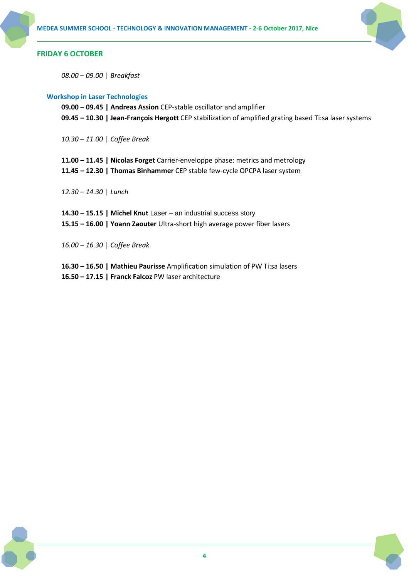

# **FRIDAY 6 OCTOBER**

*08.00 – 09.00* | *Breakfast*

# **Workshop in Laser Technologies**

**09.00 – 09.45 | Andreas Assion** CEP-stable oscillator and amplifier **09.45 – 10.30 | Jean-François Hergott** CEP stabilization of amplified grating based Ti:sa laser systems

*10.30 – 11.00* | *Coffee Break*

- **11.00 – 11.45 | Nicolas Forget** Carrier-enveloppe phase: metrics and metrology
- **11.45 – 12.30 | Thomas Binhammer** CEP stable few-cycle OPCPA laser system

*12.30 – 14.30* | *Lunch*

**14.30 – 15.15 | Michel Knut** Laser – an industrial success story **15.15 – 16.00 | Yoann Zaouter** Ultra-short high average power fiber lasers

*16.00 – 16.30* | *Coffee Break*

**16.30 – 16.50 | Mathieu Paurisse** Amplification simulation of PW Ti:sa lasers **16.50 – 17.15 | Franck Falcoz** PW laser architecture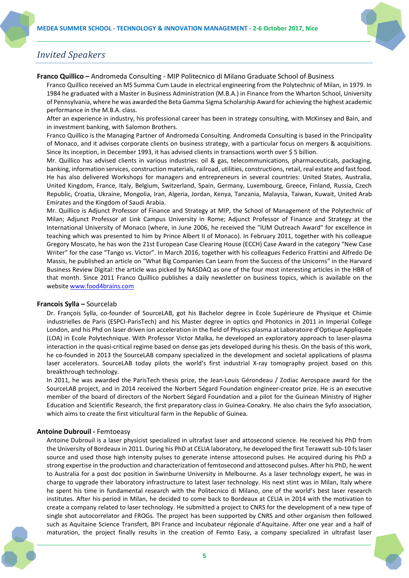

# *Invited Speakers*

#### **Franco Quillico –** Andromeda Consulting - MIP Politecnico di Milano Graduate School of Business

Franco Quillico received an MS Summa Cum Laude in electrical engineering from the Polytechnic of Milan, in 1979. In 1984 he graduated with a Master in Business Administration (M.B.A.) in Finance from the Wharton School, University of Pennsylvania, where he was awarded the Beta Gamma Sigma Scholarship Award for achieving the highest academic performance in the M.B.A. class.

After an experience in industry, his professional career has been in strategy consulting, with McKinsey and Bain, and in investment banking, with Salomon Brothers.

Franco Quillico is the Managing Partner of Andromeda Consulting. Andromeda Consulting is based in the Principality of Monaco, and it advises corporate clients on business strategy, with a particular focus on mergers & acquisitions. Since its inception, in December 1993, it has advised clients in transactions worth over \$ 5 billion.

Mr. Quillico has advised clients in various industries: oil & gas, telecommunications, pharmaceuticals, packaging, banking, information services, construction materials, railroad, utilities, constructions, retail, real estate and fast food. He has also delivered Workshops for managers and entrepreneurs in several countries: United States, Australia, United Kingdom, France, Italy, Belgium, Switzerland, Spain, Germany, Luxembourg, Greece, Finland, Russia, Czech Republic, Croatia, Ukraine, Mongolia, Iran, Algeria, Jordan, Kenya, Tanzania, Malaysia, Taiwan, Kuwait, United Arab Emirates and the Kingdom of Saudi Arabia.

Mr. Quillico is Adjunct Professor of Finance and Strategy at MIP, the School of Management of the Polytechnic of Milan; Adjunct Professor at Link Campus University in Rome; Adjunct Professor of Finance and Strategy at the International University of Monaco (where, in June 2006, he received the "IUM Outreach Award" for excellence in teaching which was presented to him by Prince Albert II of Monaco). In February 2011, together with his colleague Gregory Moscato, he has won the 21st European Case Clearing House (ECCH) Case Award in the category "New Case Writer" for the case "Tango vs. Victor". In March 2016, together with his colleagues Federico Frattini and Alfredo De Massis, he published an article on "What Big Companies Can Learn from the Success of the Unicorns" in the Harvard Business Review Digital: the article was picked by NASDAQ as one of the four most interesting articles in the HBR of that month. Since 2011 Franco Quillico publishes a daily newsletter on business topics, which is available on the website [www.food4brains.com](http://www.food4brains.com/)

## **Francois Sylla –** Sourcelab

Dr. François Sylla, co-founder of SourceLAB, got his Bachelor degree in Ecole Supérieure de Physique et Chimie industrielles de Paris (ESPCI-ParisTech) and his Master degree in optics qnd Photonics in 2011 in Imperial College London, and his Phd on laser driven ion acceleration in the field of Physics plasma at Laboratoire d'Optique Appliquée (LOA) in Ecole Polytechnique. With Professor Victor Malka, he developed an exploratory approach to laser-plasma interaction in the quasi-critical regime based on dense gas jets developed during his thesis. On the basis of this work, he co-founded in 2013 the SourceLAB company specialized in the development and societal applications of plasma laser accelerators. SourceLAB today pilots the world's first industrial X-ray tomography project based on this breakthrough technology.

In 2011, he was awarded the ParisTech thesis prize, the Jean-Louis Gérondeau / Zodiac Aerospace award for the SourceLAB project, and in 2014 received the Norbert Ségard Foundation engineer-creator prize. He is an executive member of the board of directors of the Norbert Ségard Foundation and a pilot for the Guinean Ministry of Higher Education and Scientific Research, the first preparatory class in Guinea-Conakry. He also chairs the Syfo association, which aims to create the first viticultural farm in the Republic of Guinea.

## **Antoine Dubrouil -** Femtoeasy

Antoine Dubrouil is a laser physicist specialized in ultrafast laser and attosecond science. He received his PhD from the University of Bordeaux in 2011. During his PhD at CELIA laboratory, he developed the first Terawatt sub-10 fs laser source and used those high intensity pulses to generate intense attosecond pulses. He acquired during his PhD a strong expertise in the production and characterization of femtosecond and attosecond pulses. After his PhD, he went to Australia for a post doc position in Swinburne University in Melbourne. As a laser technology expert, he was in charge to upgrade their laboratory infrastructure to latest laser technology. His next stint was in Milan, Italy where he spent his time in fundamental research with the Politecnico di Milano, one of the world's best laser research institutes. After his period in Milan, he decided to come back to Bordeaux at CELIA in 2014 with the motivation to create a company related to laser technology. He submitted a project to CNRS for the development of a new type of single shot autocorrelator and FROGs. The project has been supported by CNRS and other organism then followed such as Aquitaine Science Transfert, BPI France and Incubateur régionale d'Aquitaine. After one year and a half of maturation, the project finally results in the creation of Femto Easy, a company specialized in ultrafast laser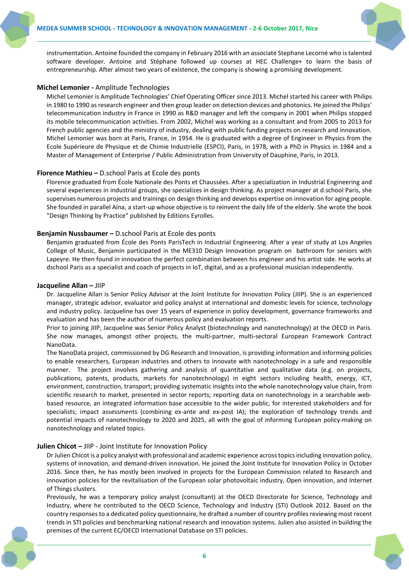

instrumentation. Antoine founded the company in February 2016 with an associate Stephane Lecorné who is talented software developer. Antoine and Stéphane followed up courses at HEC Challenge+ to learn the basis of entrepreneurship. After almost two years of existence, the company is showing a promising development.

## **Michel Lemonier -** Amplitude Technologies

Michel Lemonier is Amplitude Technologies' Chief Operating Officer since 2013. Michel started his career with Philips in 1980 to 1990 as research engineer and then group leader on detection devices and photonics. He joined the Philips' telecommunication industry in France in 1990 as R&D manager and left the company in 2001 when Philips stopped its mobile telecommunication activities. From 2002, Michel was working as a consultant and from 2005 to 2013 for French public agencies and the ministry of industry, dealing with public funding projects on research and innovation. Michel Lemonier was born at Paris, France, in 1954. He is graduated with a degree of Engineer in Physics from the Ecole Supérieure de Physique et de Chimie Industrielle (ESPCI), Paris, in 1978, with a PhD in Physics in 1984 and a Master of Management of Enterprise / Public Administration from University of Dauphine, Paris, in 2013.

# **Florence Mathieu –** D.school Paris at Ecole des ponts

Florence graduated from École Nationale des Ponts et Chaussées. After a specialization in Industrial Engineering and several experiences in industrial groups, she specializes in design thinking. As project manager at d.school Paris, she supervises numerous projects and trainings on design thinking and develops expertise on innovation for aging people. She founded in parallel Aïna, a start-up whose objective is to reinvent the daily life of the elderly. She wrote the book "Design Thinking by Practice" published by Editions Eyrolles.

# **Benjamin Nussbaumer –** D.school Paris at Ecole des ponts

Benjamin graduated from École des Ponts ParisTech in Industrial Engineering. After a year of study at Los Angeles College of Music, Benjamin participated in the ME310 Design Innovation program on bathroom for seniors with Lapeyre. He then found in innovation the perfect combination between his engineer and his artist side. He works at dschool Paris as a specialist and coach of projects in IoT, digital, and as a professional musician independently.

#### **Jacqueline Allan –** JIIP

Dr. Jacqueline Allan is Senior Policy Advisor at the Joint Institute for Innovation Policy (JIIP). She is an experienced manager, strategic advisor, evaluator and policy analyst at international and domestic levels for science, technology and industry policy. Jacqueline has over 15 years of experience in policy development, governance frameworks and evaluation and has been the author of numerous policy and evaluation reports.

Prior to joining JIIP, Jacqueline was Senior Policy Analyst (biotechnology and nanotechnology) at the OECD in Paris. She now manages, amongst other projects, the multi-partner, multi-sectoral European Framework Contract NanoData.

The NanoData project, commissioned by DG Research and Innovation, is providing information and informing policies to enable researchers, European industries and others to innovate with nanotechnology in a safe and responsible manner. The project involves gathering and analysis of quantitative and qualitative data (e.g. on projects, publications, patents, products, markets for nanotechnology) in eight sectors including health, energy, ICT, environment, construction, transport; providing systematic insights into the whole nanotechnology value chain, from scientific research to market, presented in sector reports; reporting data on nanotechnology in a searchable webbased resource, an integrated information base accessible to the wider public, for interested stakeholders and for specialists; impact assessments (combining ex-ante and ex-post IA); the exploration of technology trends and potential impacts of nanotechnology to 2020 and 2025, all with the goal of informing European policy-making on nanotechnology and related topics.

## **Julien Chicot –** JIIP - Joint Institute for Innovation Policy

Dr Julien Chicot is a policy analyst with professional and academic experience across topics including innovation policy, systems of innovation, and demand-driven innovation. He joined the Joint Institute for Innovation Policy in October 2016. Since then, he has mostly been involved in projects for the European Commission related to Research and innovation policies for the revitalisation of the European solar photovoltaic industry, Open innovation, and Internet of Things clusters.

Previously, he was a temporary policy analyst (consultant) at the OECD Directorate for Science, Technology and Industry, where he contributed to the OECD Science, Technology and Industry (STI) Outlook 2012. Based on the country responses to a dedicated policy questionnaire, he drafted a number of country profiles reviewing most recent trends in STI policies and benchmarking national research and innovation systems. Julien also assisted in building the premises of the current EC/OECD International Database on STI policies.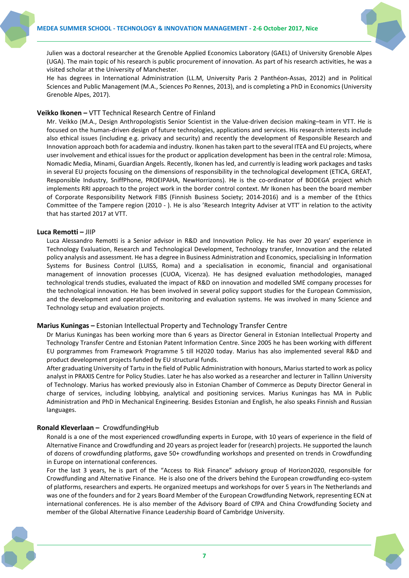

Julien was a doctoral researcher at the Grenoble Applied Economics Laboratory (GAEL) of University Grenoble Alpes (UGA). The main topic of his research is public procurement of innovation. As part of his research activities, he was a visited scholar at the University of Manchester.

He has degrees in International Administration (LL.M, University Paris 2 Panthéon-Assas, 2012) and in Political Sciences and Public Management (M.A., Sciences Po Rennes, 2013), and is completing a PhD in Economics (University Grenoble Alpes, 2017).

# **Veikko Ikonen –** VTT Technical Research Centre of Finland

Mr. Veikko (M.A., Design Anthropologistis Senior Scientist in the Value-driven decision making–team in VTT. He is focused on the human-driven design of future technologies, applications and services. His research interests include also ethical issues (including e.g. privacy and security) and recently the development of Responsible Research and Innovation approach both for academia and industry. Ikonen has taken part to the several ITEA and EU projects, where user involvement and ethical issues for the product or application development has been in the central role: Mimosa, Nomadic Media, Minami, Guardian Angels. Recently, Ikonen has led, and currently is leading work packages and tasks in several EU projects focusing on the dimensions of responsibility in the technological development (ETICA, GREAT, Responsible Industry, SniffPhone, PROEIPAHA, NewHorrizons). He is the co-ordinator of BODEGA project which implements RRI approach to the project work in the border control context. Mr Ikonen has been the board member of Corporate Responsibility Network FIBS (Finnish Business Society; 2014-2016) and is a member of the Ethics Committee of the Tampere region (2010 - ). He is also 'Research Integrity Adviser at VTT' in relation to the activity that has started 2017 at VTT.

## **Luca Remotti –** JIIP

Luca Alessandro Remotti is a Senior advisor in R&D and Innovation Policy. He has over 20 years' experience in Technology Evaluation, Research and Technological Development, Technology transfer, Innovation and the related policy analysis and assessment. He has a degree in Business Administration and Economics, specialising in Information Systems for Business Control (LUISS, Roma) and a specialisation in economic, financial and organisational management of innovation processes (CUOA, Vicenza). He has designed evaluation methodologies, managed technological trends studies, evaluated the impact of R&D on innovation and modelled SME company processes for the technological innovation. He has been involved in several policy support studies for the European Commission, and the development and operation of monitoring and evaluation systems. He was involved in many Science and Technology setup and evaluation projects.

## **Marius Kuningas –** Estonian Intellectual Property and Technology Transfer Centre

Dr Marius Kuningas has been working more than 6 years as Director General in Estonian Intellectual Property and Technology Transfer Centre and Estonian Patent Information Centre. Since 2005 he has been working with different EU porgrammes from Framework Programme 5 till H2020 today. Marius has also implemented several R&D and product development projects funded by EU structural funds.

After graduating University of Tartu in the field of Public Administration with honours, Marius started to work as policy analyst in PRAXIS Centre for Policy Studies. Later he has also worked as a researcher and lecturer in Tallinn University of Technology. Marius has worked previously also in Estonian Chamber of Commerce as Deputy Director General in charge of services, including lobbying, analytical and positioning services. Marius Kuningas has MA in Public Administration and PhD in Mechanical Engineering. Besides Estonian and English, he also speaks Finnish and Russian languages.

# **Ronald Kleverlaan –** CrowdfundingHub

Ronald is a one of the most experienced crowdfunding experts in Europe, with 10 years of experience in the field of Alternative Finance and Crowdfunding and 20 years as project leader for (research) projects. He supported the launch of dozens of crowdfunding platforms, gave 50+ crowdfunding workshops and presented on trends in Crowdfunding in Europe on international conferences.

For the last 3 years, he is part of the "Access to Risk Finance" advisory group of Horizon2020, responsible for Crowdfunding and Alternative Finance. He is also one of the drivers behind the European crowdfunding eco-system of platforms, researchers and experts. He organized meetups and workshops for over 5 years in The Netherlands and was one of the founders and for 2 years Board Member of the European Crowdfunding Network, representing ECN at international conferences. He is also member of the Advisory Board of CfPA and China Crowdfunding Society and member of the Global Alternative Finance Leadership Board of Cambridge University.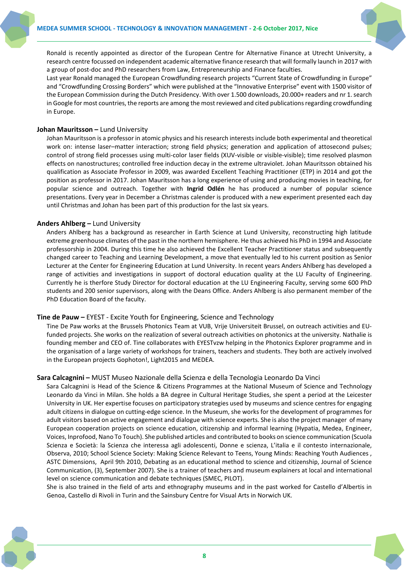

Ronald is recently appointed as director of the European Centre for Alternative Finance at Utrecht University, a research centre focussed on independent academic alternative finance research that will formally launch in 2017 with a group of post-doc and PhD researchers from Law, Entrepreneurship and Finance faculties.

Last year Ronald managed the European Crowdfunding research projects "Current State of Crowdfunding in Europe" and "Crowdfunding Crossing Borders" which were published at the "Innovative Enterprise" event with 1500 visitor of the European Commission during the Dutch Presidency. With over 1.500 downloads, 20.000+ readers and nr 1. search in Google for most countries, the reports are among the most reviewed and cited publications regarding crowdfunding in Europe.

# **Johan Mauritsson –** Lund University

Johan Mauritsson is a professor in atomic physics and his research interests include both experimental and theoretical work on: intense laser–matter interaction; strong field physics; generation and application of attosecond pulses; control of strong field processes using multi-color laser fields (XUV-visible or visible-visible); time resolved plasmon effects on nanostructures; controlled free induction decay in the extreme ultraviolet. Johan Mauritsson obtained his qualification as Associate Professor in 2009, was awarded Excellent Teaching Practitioner (ETP) in 2014 and got the position as professor in 2017. Johan Mauritsson has a long experience of using and producing movies in teaching, for popular science and outreach. Together with **Ingrid Odlén** he has produced a number of popular science presentations. Every year in December a Christmas calender is produced with a new experiment presented each day until Christmas and Johan has been part of this production for the last six years.

# **Anders Ahlberg –** Lund University

Anders Ahlberg has a background as researcher in Earth Science at Lund University, reconstructing high latitude extreme greenhouse climates of the past in the northern hemisphere. He thus achieved his PhD in 1994 and Associate professorship in 2004. During this time he also achieved the Excellent Teacher Practitioner status and subsequently changed career to Teaching and Learning Development, a move that eventually led to his current position as Senior Lecturer at the Center for Engineering Education at Lund University. In recent years Anders Ahlberg has developed a range of activities and investigations in support of doctoral education quality at the LU Faculty of Engineering. Currently he is therfore Study Director for doctoral education at the LU Engineering Faculty, serving some 600 PhD students and 200 senior supervisors, along with the Deans Office. Anders Ahlberg is also permanent member of the PhD Education Board of the faculty.

## **Tine de Pauw –** EYEST - Excite Youth for Engineering, Science and Technology

Tine De Paw works at the Brussels Photonics Team at VUB, Vrije Universiteit Brussel, on outreach activities and EUfunded projects. She works on the realization of several outreach activities on photonics at the university. Nathalie is founding member and CEO of. Tine collaborates with EYESTvzw helping in the Photonics Explorer programme and in the organisation of a large variety of workshops for trainers, teachers and students. They both are actively involved in the European projects Gophoton!, Light2015 and MEDEA.

## **Sara Calcagnini –** MUST Museo Nazionale della Scienza e della Tecnologia Leonardo Da Vinci

Sara Calcagnini is Head of the Science & Citizens Programmes at the National Museum of Science and Technology Leonardo da Vinci in Milan. She holds a BA degree in Cultural Heritage Studies, she spent a period at the Leicester University in UK. Her expertise focuses on participatory strategies used by museums and science centres for engaging adult citizens in dialogue on cutting-edge science. In the Museum, she works for the development of programmes for adult visitors based on active engagement and dialogue with science experts. She is also the project manager of many European cooperation projects on science education, citizenship and informal learning (Hypatia, Medea, Engineer, Voices, Inprofood, Nano To Touch). She published articles and contributed to books on science communication (Scuola Scienza e Società: la Scienza che interessa agli adolescenti, Donne e scienza, L'italia e il contesto internazionale, Observa, 2010; School Science Society: Making Science Relevant to Teens, Young Minds: Reaching Youth Audiences , ASTC Dimensions, April 9th 2010, Debating as an educational method to science and citizenship, Journal of Science Communication, (3), September 2007). She is a trainer of teachers and museum explainers at local and international level on science communication and debate techniques (SMEC, PILOT).

She is also trained in the field of arts and ethnography museums and in the past worked for Castello d'Albertis in Genoa, Castello di Rivoli in Turin and the Sainsbury Centre for Visual Arts in Norwich UK.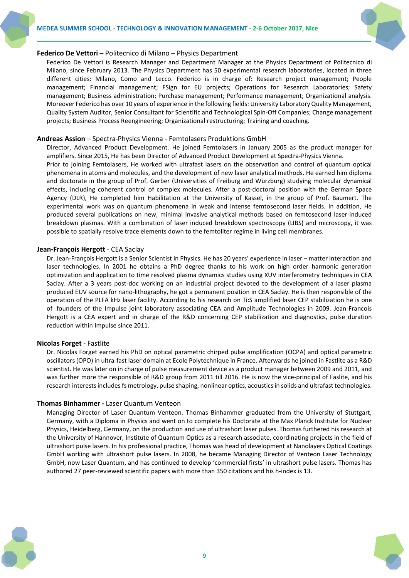

#### **Federico De Vettori –** Politecnico di Milano – Physics Department

Federico De Vettori is Research Manager and Department Manager at the Physics Department of Politecnico di Milano, since February 2013. The Physics Department has 50 experimental research laboratories, located in three different cities: Milano, Como and Lecco. Federico is in charge of: Research project management; People management; Financial management; FSign for EU projects; Operations for Research Laboratories; Safety management; Business administration; Purchase management; Performance management; Organizational analysis. Moreover Federico has over 10 years of experience in the following fields: University Laboratory Quality Management, Quality System Auditor, Senior Consultant for Scientific and Technological Spin-Off Companies; Change management projects; Business Process Reengineering; Organizational restructuring; Training and coaching.

#### **Andreas Assion** – Spectra-Physics Vienna - Femtolasers Produktions GmbH

Director, Advanced Product Development. He joined Femtolasers in January 2005 as the product manager for amplifiers. Since 2015, He has been Director of Advanced Product Development at Spectra-Physics Vienna.

Prior to joining Femtolasers, He worked with ultrafast lasers on the observation and control of quantum optical phenomena in atoms and molecules, and the development of new laser analytical methods. He earned him diploma and doctorate in the group of Prof. Gerber (Universities of Freiburg and Würzburg) studying molecular dynamical effects, including coherent control of complex molecules. After a post-doctoral position with the German Space Agency (DLR), He completed him Habilitation at the University of Kassel, in the group of Prof. Baumert. The experimental work was on quantum phenomena in weak and intense femtosecond laser fields. In addition, He produced several publications on new, minimal invasive analytical methods based on femtosecond laser-induced breakdown plasmas. With a combination of laser induced breakdown spectroscopy (LIBS) and microscopy, it was possible to spatially resolve trace elements down to the femtoliter regime in living cell membranes.

#### **Jean-François Hergott** - CEA Saclay

Dr. Jean-François Hergott is a Senior Scientist in Physics. He has 20 years' experience in laser – matter interaction and laser technologies. In 2001 he obtains a PhD degree thanks to his work on high order harmonic generation optimization and application to time resolved plasma dynamics studies using XUV interferometry techniques in CEA Saclay. After a 3 years post-doc working on an industrial project devoted to the development of a laser plasma produced EUV source for nano-lithography, he got a permanent position in CEA Saclay. He is then responsible of the operation of the PLFA kHz laser facility. According to his research on Ti:S amplified laser CEP stabilization he is one of founders of the Impulse joint laboratory associating CEA and Amplitude Technologies in 2009. Jean-Francois Hergott is a CEA expert and in charge of the R&D concerning CEP stabilization and diagnostics, pulse duration reduction within Impulse since 2011.

## **Nicolas Forget** - Fastlite

Dr. Nicolas Forget earned his PhD on optical parametric chirped pulse amplification (OCPA) and optical parametric oscillators (OPO) in ultra-fast laser domain at Ecole Polytechnique in France. Afterwards he joined in Fastlite as a R&D scientist. He was later on in charge of pulse measurement device as a product manager between 2009 and 2011, and was further more the responsible of R&D group from 2011 till 2016. He is now the vice-principal of Faslite, and his research interests includesfs metrology, pulse shaping, nonlinear optics, acoustics in solids and ultrafast technologies.

#### **Thomas Binhammer -** Laser Quantum Venteon

Managing Director of Laser Quantum Venteon. Thomas Binhammer graduated from the University of Stuttgart, Germany, with a Diploma in Physics and went on to complete his Doctorate at the Max Planck Institute for Nuclear Physics, Heidelberg, Germany, on the production and use of ultrashort laser pulses. Thomas furthered his research at the University of Hannover, Institute of Quantum Optics as a research associate, coordinating projects in the field of ultrashort pulse lasers. In his professional practice, Thomas was head of development at Nanolayers Optical Coatings GmbH working with ultrashort pulse lasers. In 2008, he became Managing Director of Venteon Laser Technology GmbH, now Laser Quantum, and has continued to develop 'commercial firsts' in ultrashort pulse lasers. Thomas has authored 27 peer-reviewed scientific papers with more than 350 citations and his h-index is 13.